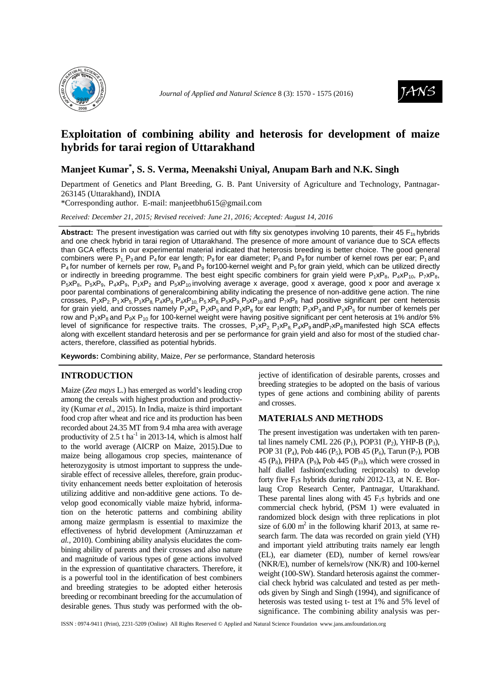



# **Exploitation of combining ability and heterosis for development of maize hybrids for tarai region of Uttarakhand**

# **Manjeet Kumar\* , S. S. Verma, Meenakshi Uniyal, Anupam Barh and N.K. Singh**

Department of Genetics and Plant Breeding, G. B. Pant University of Agriculture and Technology, Pantnagar-263145 (Uttarakhand), INDIA

\*Corresponding author. E-mail: manjeetbhu615@gmail.com

*Received: December 21, 2015; Revised received: June 21, 2016; Accepted: August 14, 2016*

Abstract: The present investigation was carried out with fifty six genotypes involving 10 parents, their 45 F<sub>1s</sub> hybrids and one check hybrid in tarai region of Uttarakhand. The presence of more amount of variance due to SCA effects than GCA effects in our experimental material indicated that heterosis breeding is better choice. The good general combiners were P<sub>1</sub>, P<sub>3</sub> and P<sub>4</sub> for ear length; P<sub>8</sub> for ear diameter; P<sub>5</sub> and P<sub>8</sub> for number of kernel rows per ear; P<sub>1</sub> and  $P_4$  for number of kernels per row,  $P_8$  and  $P_9$  for 100-kernel weight and  $P_5$  for grain yield, which can be utilized directly or indirectly in breeding programme. The best eight specific combiners for grain yield were  $P_1xP_8$ ,  $P_4xP_{10}$ ,  $P_7xP_8$ ,  $P_5xP_8$ ,  $P_5xP_9$ ,  $P_4xP_9$ ,  $P_1xP_2$  and  $P_5xP_{10}$  involving average x average, good x average, good x poor and average x poor parental combinations of generalcombining ability indicating the presence of non-additive gene action. The nine crosses,  $P_1XP_2$ ,  $P_1XP_5$ ,  $P_1XP_8$ ,  $P_4XP_9$ ,  $P_4XP_{10}$ ,  $P_5XP_8$ ,  $P_5XP_{10}$  and  $P_7XP_8$  had positive significant per cent heterosis for grain yield, and crosses namely  $P_1xP_4$ ,  $P_1xP_5$  and  $P_1xP_8$  for ear length;  $P_1xP_3$  and  $P_1xP_5$  for number of kernels per row and  $P_1xP_8$  and P<sub>9</sub>x P<sub>10</sub> for 100-kernel weight were having positive significant per cent heterosis at 1% and/or 5% level of significance for respective traits. The crosses,  $P_1xP_2$ ,  $P_1xP_8$ ,  $P_4xP_9$  and  $P_7xP_8$  manifested high SCA effects along with excellent standard heterosis and per se performance for grain yield and also for most of the studied characters, therefore, classified as potential hybrids.

**Keywords:** Combining ability, Maize, Per se performance, Standard heterosis

### **INTRODUCTION**

Maize (*Zea mays* L.) has emerged as world's leading crop among the cereals with highest production and productivity (Kumar *et al*., 2015). In India, maize is third important food crop after wheat and rice and its production has been recorded about 24.35 MT from 9.4 mha area with average productivity of 2.5 t ha<sup>-1</sup> in 2013-14, which is almost half to the world average (AICRP on Maize, 2015).Due to maize being allogamous crop species, maintenance of heterozygosity is utmost important to suppress the undesirable effect of recessive alleles, therefore, grain productivity enhancement needs better exploitation of heterosis utilizing additive and non-additive gene actions. To develop good economically viable maize hybrid, information on the heterotic patterns and combining ability among maize germplasm is essential to maximize the effectiveness of hybrid development (Amiruzzaman *et al.,* 2010). Combining ability analysis elucidates the combining ability of parents and their crosses and also nature and magnitude of various types of gene actions involved in the expression of quantitative characters. Therefore, it is a powerful tool in the identification of best combiners and breeding strategies to be adopted either heterosis breeding or recombinant breeding for the accumulation of desirable genes. Thus study was performed with the objective of identification of desirable parents, crosses and breeding strategies to be adopted on the basis of various types of gene actions and combining ability of parents and crosses.

## **MATERIALS AND METHODS**

The present investigation was undertaken with ten parental lines namely CML 226  $(P_1)$ , POP31  $(P_2)$ , YHP-B  $(P_3)$ , POP 31 (P<sub>4</sub>), Pob 446 (P<sub>5</sub>), POB 45 (P<sub>6</sub>), Tarun (P<sub>7</sub>), POB 45  $(P_8)$ , PHPA  $(P_9)$ , Pob 445  $(P_{10})$ , which were crossed in half diallel fashion(excluding reciprocals) to develop forty five F1s hybrids during *rabi* 2012-13, at N. E. Borlaug Crop Research Center, Pantnagar, Uttarakhand. These parental lines along with  $45 F<sub>1</sub>s$  hybrids and one commercial check hybrid, (PSM 1) were evaluated in randomized block design with three replications in plot size of  $6.00 \text{ m}^2$  in the following kharif 2013, at same research farm. The data was recorded on grain yield (YH) and important yield attributing traits namely ear length (EL), ear diameter (ED), number of kernel rows/ear (NKR/E), number of kernels/row (NK/R) and 100-kernel weight (100-SW). Standard heterosis against the commercial check hybrid was calculated and tested as per methods given by Singh and Singh (1994), and significance of heterosis was tested using t- test at 1% and 5% level of significance. The combining ability analysis was per-

ISSN : 0974-9411 (Print), 2231-5209 (Online) All Rights Reserved © Applied and Natural Science Foundation www.jans.ansfoundation.org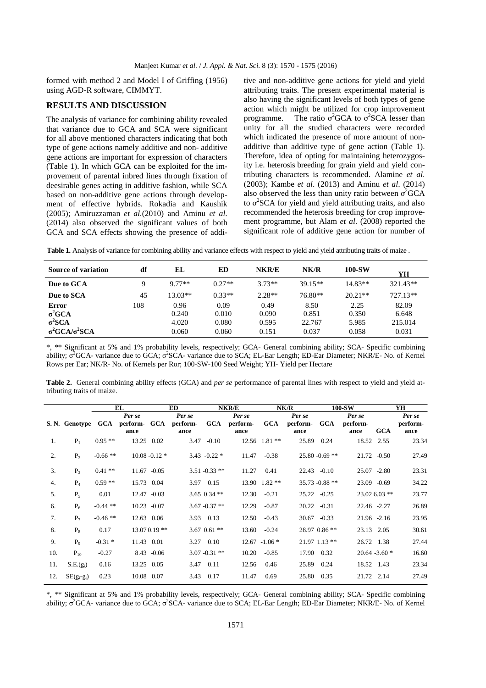formed with method 2 and Model I of Griffing (1956) using AGD-R software, CIMMYT.

### **RESULTS AND DISCUSSION**

The analysis of variance for combining ability revealed that variance due to GCA and SCA were significant for all above mentioned characters indicating that both type of gene actions namely additive and non- additive gene actions are important for expression of characters (Table 1). In which GCA can be exploited for the improvement of parental inbred lines through fixation of deesirable genes acting in additive fashion, while SCA based on non-additive gene actions through development of effective hybrids. Rokadia and Kaushik (2005); Amiruzzaman *et al.*(2010) and Aminu *et al*. (2014) also observed the significant values of both GCA and SCA effects showing the presence of addi-

tive and non-additive gene actions for yield and yield attributing traits. The present experimental material is also having the significant levels of both types of gene action which might be utilized for crop improvement programme. The ratio  $\sigma^2$ GCA to  $\sigma^2$ SCA lesser than unity for all the studied characters were recorded which indicated the presence of more amount of nonadditive than additive type of gene action (Table 1). Therefore, idea of opting for maintaining heterozygosity i.e. heterosis breeding for grain yield and yield contributing characters is recommended. Alamine *et al*. (2003); Kambe *et al*. (2013) and Aminu *et al*. (2014) also observed the less than unity ratio between  $\sigma^2 GCA$ to  $\sigma^2$ SCA for yield and yield attributing traits, and also recommended the heterosis breeding for crop improvement programme, but Alam *et al*. (2008) reported the significant role of additive gene action for number of

**Table 1.** Analysis of variance for combining ability and variance effects with respect to yield and yield attributing traits of maize .

| Source of variation            | df  | EL       | ED       | NKR/E    | NK/R      | 100-SW    | YH       |
|--------------------------------|-----|----------|----------|----------|-----------|-----------|----------|
| Due to GCA                     |     | $9.77**$ | $0.27**$ | $3.73**$ | $39.15**$ | $14.83**$ | 321.43** |
| Due to SCA                     | 45  | 13.03**  | $0.33**$ | $2.28**$ | 76.80**   | $20.21**$ | 727.13** |
| Error                          | 108 | 0.96     | 0.09     | 0.49     | 8.50      | 2.25      | 82.09    |
| $\sigma^2 GCA$                 |     | 0.240    | 0.010    | 0.090    | 0.851     | 0.350     | 6.648    |
| $\sigma^2 SCA$                 |     | 4.020    | 0.080    | 0.595    | 22.767    | 5.985     | 215.014  |
| $\sigma^2$ GCA/ $\sigma^2$ SCA |     | 0.060    | 0.060    | 0.151    | 0.037     | 0.058     | 0.031    |

\*, \*\* Significant at 5% and 1% probability levels, respectively; GCA- General combining ability; SCA- Specific combining ability;  $\sigma^2$ GCA- variance due to GCA;  $\sigma^2$ SCA- variance due to SCA; EL-Ear Length; ED-Ear Diameter; NKR/E- No. of Kernel Rows per Ear; NK/R- No. of Kernels per Ror; 100-SW-100 Seed Weight; YH- Yield per Hectare

**Table 2.** General combining ability effects (GCA) and *per se* performance of parental lines with respect to yield and yield attributing traits of maize.

|     |                |            | EL                         |                  | <b>ED</b>                  |                  | <b>NKR/E</b>               |                  | NK/R                       |                   | 100-SW                     |                  | YH                         |
|-----|----------------|------------|----------------------------|------------------|----------------------------|------------------|----------------------------|------------------|----------------------------|-------------------|----------------------------|------------------|----------------------------|
|     | S. N. Genotype | GCA        | Per se<br>perform-<br>ance | <b>GCA</b>       | Per se<br>perform-<br>ance | <b>GCA</b>       | Per se<br>perform-<br>ance | <b>GCA</b>       | Per se<br>perform-<br>ance | <b>GCA</b>        | Per se<br>perform-<br>ance | <b>GCA</b>       | Per se<br>perform-<br>ance |
| 1.  | $P_1$          | $0.95**$   |                            | 13.25 0.02       | 3.47                       | $-0.10$          |                            | 12.56 1.81**     | 25.89                      | 0.24              | 18.52 2.55                 |                  | 23.34                      |
| 2.  | P <sub>2</sub> | $-0.66$ ** |                            | $10.08 - 0.12$ * |                            | $3.43 - 0.22$ *  | 11.47                      | $-0.38$          |                            | $25.80 - 0.69$ ** | $21.72 -0.50$              |                  | 27.49                      |
| 3.  | $P_3$          | $0.41**$   |                            | $11.67 - 0.05$   |                            | $3.51 - 0.33$ ** | 11.27                      | 0.41             |                            | $22.43 - 0.10$    |                            | $25.07 - 2.80$   | 23.31                      |
| 4.  | $P_4$          | $0.59**$   |                            | 15.73 0.04       |                            | 3.97 0.15        |                            | 13.90 1.82 **    |                            | 35.73 -0.88 **    |                            | 23.09 -0.69      | 34.22                      |
| 5.  | $P_5$          | 0.01       |                            | $12.47 - 0.03$   |                            | $3.65$ 0.34 **   | 12.30                      | $-0.21$          |                            | $25.22 - 0.25$    |                            | 23.02 6.03 **    | 23.77                      |
| 6.  | $P_6$          | $-0.44$ ** |                            | $10.23 - 0.07$   |                            | $3.67 - 0.37$ ** | 12.29                      | $-0.87$          | 20.22                      | $-0.31$           | 22.46 -2.27                |                  | 26.89                      |
| 7.  | $P_7$          | $-0.46**$  |                            | 12.63 0.06       |                            | 3.93 0.13        | 12.50                      | $-0.43$          |                            | $30.67 - 0.33$    |                            | $21.96 -2.16$    | 23.95                      |
| 8.  | $P_8$          | 0.17       |                            | $13.070.19**$    |                            | $3.67$ 0.61 **   | 13.60                      | $-0.24$          |                            | 28.97 0.86 **     | 23.13 2.05                 |                  | 30.61                      |
| 9.  | P <sub>o</sub> | $-0.31*$   | 11.43 0.01                 |                  |                            | 3.27 0.10        |                            | $12.67 - 1.06$ * |                            | $21.97$ 1.13 **   | 26.72 1.38                 |                  | 27.44                      |
| 10. | $P_{10}$       | $-0.27$    |                            | $8.43 - 0.06$    |                            | $3.07 - 0.31$ ** | 10.20                      | $-0.85$          | 17.90                      | 0.32              |                            | $20.64 - 3.60$ * | 16.60                      |
| 11. | $S.E.(g_i)$    | 0.16       |                            | 13.25 0.05       |                            | 3.47 0.11        | 12.56                      | 0.46             | 25.89                      | 0.24              | 18.52 1.43                 |                  | 23.34                      |
| 12. | $SE(g_i-g_j)$  | 0.23       |                            | 10.08 0.07       | 3.43                       | 0.17             | 11.47                      | 0.69             | 25.80                      | 0.35              | 21.72 2.14                 |                  | 27.49                      |

\*, \*\* Significant at 5% and 1% probability levels, respectively; GCA- General combining ability; SCA- Specific combining ability;  $\sigma^2$ GCA- variance due to GCA;  $\sigma^2$ SCA- variance due to SCA; EL-Ear Length; ED-Ear Diameter; NKR/E- No. of Kernel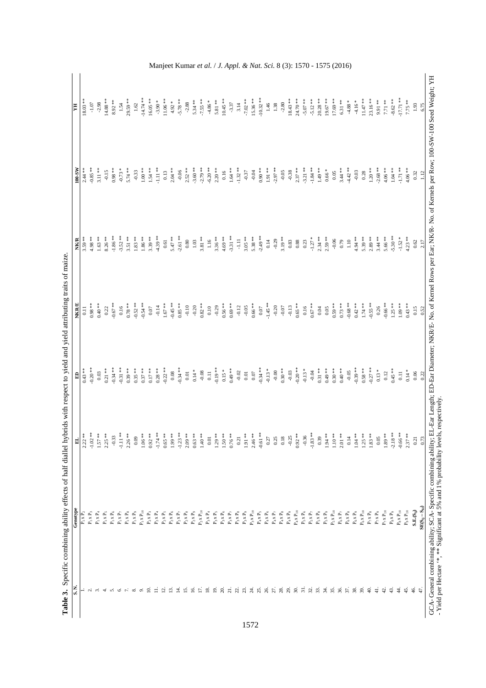|                            |                                              | 리          | 日                 | <b>NKR/E</b>       | <b>NK/R</b>       | $100-SW$                            |                       |
|----------------------------|----------------------------------------------|------------|-------------------|--------------------|-------------------|-------------------------------------|-----------------------|
|                            | $P_1 \times P_2$                             | $2.22**$   | $0.43**$          | $\overline{0}$     | $3.59***$         | $2.44**$                            | $18.03**$             |
| $\sim$                     | $P_1 \times P_3$                             | $-1.02$ *  | $-0.20**$         | $0.98***$          | ** 86.7           | $-0.85$ **                          | $-1.07$               |
| $\sim$                     | $P_1 \times P_4$                             | $1.57$ **  | 0.03              | $0.40**$           | $1.63**$          | $3.11***$                           | $-2.98$               |
| 4.                         | $\mathbf{P}_1 \times \mathbf{P}_5$           | $2.25$ **  | $0.21$ $\ast\ast$ | 0.22               | $8.26$ **         | $-0.15$                             | $14.88**$             |
| ທ່                         | $\mathbf{P}_1 \times \mathbf{P}_6$           | $-0.33$    | $-0.34**$         | $-0.67$ **         | $-1.86$ **        | $0.98**$                            | $8.92**$              |
| 0.                         | $\mathbf{P}_1 \times \mathbf{P}_7$           | $-1.11**$  | $-0.31**$         | 0.16               | $-3.52$ **        | $-0.73 *$                           | 1.54                  |
|                            | $\mathbf{P_i} \times \mathbf{P_8}$           | $2.26$ **  | $0.39***$         | $0.78**$           | $3.51$ **         | $5.74**$                            | 29.59 **              |
| ∞ं                         | $\mathbf{P}_1 \times \mathbf{P}_9$           | 0.09       | $0.35**$          | $-0.52$ **         | $1.83**$          | $-0.33$                             | 1.62                  |
| െ                          | $\mathbf{P}_1 \mathbf{x} \, \mathbf{P}_{10}$ | $1.06**$   | $0.37$ **         | $-0.54**$          | $1.86$ **         | $1.00\;**$                          | $-14.74**$            |
| ≘                          | $\mathbf{P}_2$ x $\mathbf{P}_3$              | $0.92**$   | $0.17***$         | 0.07               | $3.39***$         | $1.54***$                           | $16.05**$             |
| Ξ                          | $\mathbf{P}_2 \times \mathbf{P}_4$           | $-1.74**$  | $0.28**$          | $-0.14$            | $-4.39$ **        | $-1.11**$                           | $-3.90*$              |
| $\overline{c}$             | $\mathbf{P}_2 \times \mathbf{P}_5$           | $0.65***$  | $-0.22$ **        | $1.67$ $\ast\ast$  | $_{0.61}$         | 0.13                                | $11.06**$             |
| $\overline{3}$             | $\mathbf{P}_2$ x $\mathbf{P}_6$              | $1.99***$  | $0.08\,$          | $-0.45**$          | $5.47$ **         | $2.04**$                            | $4.92 *$              |
| 국                          | $\mathbf{P}_2 \times \mathbf{P}_7$           | $-1.23$ *  | $-0.34**$         | $0.85**$           | $-2.61**$         | $-0.06$                             | $-5.78$ **            |
| 5                          | $\mathbf{P}_2 \times \mathbf{P}_8$           | $2.09**$   | 0.01              | $-0.10$            | $\!0.80\!$        | $2.52$ **                           | $-2.88$               |
| <u>َی</u>                  | $\mathbf{P}_2$ x $\mathbf{P}_9$              | $0.63**$   | $0.14*$           | $-0.20$            | $1.03$            | $-3.60**$                           | $5.34**$              |
| $\overline{a}$             | $\mathbf{P}_2 \times \mathbf{P}_{10}$        | $1.40**$   | $-0.08$           | $0.82**$           | $3.81**$          | $-2.79$ **                          | $-7.55$ **            |
| $\overline{8}$             | $\mathbf{P}_3 \times \mathbf{P}_4$           | $0.01$     | 0.11              | $0.10$             | 1.16              | $-6.20**$                           | $-4.86$ *             |
| $\overline{19}$            | $\mathbf{P}_3$ x $\mathbf{P}_5$              | $1.29**$   | $-0.19**$         | $-0.29$            | $3.36***$         | $2.20**$                            | $5.81**$              |
| 20.                        | $P_3 x P_6$                                  | $1.50**$   | $0.15 *$          | $0.56***$          | $4.69***$         | $0.16$                              | $10.45**$             |
| 21.                        | $P_3 x P_7$                                  | $0.76***$  | $0.49**$          | $0.69**$           | $-3.31**$         | $1.64**$                            | $-3.37$               |
| 22.                        | $\mathbf{P}_3 \times \mathbf{P}_8$           | 0.21       | $-0.02$           | $-0.12$            | $\Xi$             | $-1.32$ **                          | 3.14                  |
| 23.                        | $\mathbf{P}_3$ x $\mathbf{P}_9$              | $1.91**$   | $0.01$            | $-0.05$            | $3.05**$          | $-0.37$                             | $-7.02$ **            |
| 24 x 26                    | $\mathbf{P}_3 \times \mathbf{P}_{10}$        | $2.46**$   | $0.07\,$          | $0.66***$          | $5.38**$          | $-0.04$                             | $15.36**$             |
|                            | $P_4 x P_5$                                  | $-0.61$ ** | $-0.34**$         | $0.07\,$           | $-2.49**$         | $0.90**$                            | $-10.32**$            |
|                            | $P_4 x P_6$                                  | 0.27       | $-0.13 *$         | $-1.45$ $\ast\ast$ | $0.14\,$          | $1.91\; * \; *$                     | $1.46\,$              |
| 27.8                       | $\mathbf{P}_4$ x $\mathbf{P}_7$              | 0.25       | $-0.00$           | $-0.20$            | $-0.29$           | $-2.97$ **                          | 1.38                  |
| 29.                        | $P_4 x P_8$                                  | $0.18\,$   | $0.30**$          | $-0.07$            | $3.19***$         | $-0.05$                             | $-2.80$               |
|                            | $P_4 x P_9$                                  | $-0.25$    | $-0.03$           | $-0.13$            | $\rm 0.83$        | $-0.38$                             | $18.43**$             |
| $\approx$                  | $P_4 \times P_{10}$                          | $0.92**$   | $-0.20**$         | $0.65**$           | $\rm 0.88$        | $2.37$ **                           | 24.70 **              |
| $\overline{\mathfrak{sl}}$ | $P_5$ x $P_6$                                | $-0.36$    | $-0.13*$          | 0.16               | 0.23              | $-3.21$ **                          | $-5.07$ **            |
| 32.                        | $P_5 \times P_7$                             | $-1.83**$  | $-0.04$           | $0.67$ $\ast\ast$  | $-1.27$ $^{\ast}$ | $-1.84**$                           | $-5.12**$             |
| 33.                        | $P_5 x P_8$                                  | 0.39       | $0.31**$          | 0.04               | $2.34***$         | $1.49$ $\ast\ast$                   | $20.28$ **            |
| 34.                        | $\mathbf{P}_5 \times \mathbf{P}_9$           | $1.94**$   | $0.49**$          | 0.05               | $2.59***$         | $0.66$ $^{\ast}$                    | $19.67$ **            |
| 35.                        | $\mathbf{P}_5 \times \mathbf{P}_{10}$        | $1.10**$   | $0.30**$          | $0.59***$          | $-0.06$           | 0.05                                | 17.69 **              |
| 36.                        | $\text{P}_6$ x $\text{P}_7$                  | $2.01**$   | $0.40$ $^{**}\,$  | $0.73***$          | 0.79              | $3.44***$                           | $6.31$ **             |
| 37.                        | $\mathbf{P}_6$ x $\mathbf{P}_8$              | 0.14       | $-0.05$           | $-0.68**$          | $1.10\,$          | $-4.42$ **                          | $\textbf{-4.88} \ast$ |
| 38.                        | $\mathrm{P}_6$ x $\mathrm{P}_9$              | $1.04**$   | $-0.39$ **        | $0.42**$           | 4.94 **           | $-0.03$                             | $-4.16$ *             |
| 39.                        | $\mathbf{P}_6 \times \mathbf{P}_{10}$        | $1.25***$  | $0.58**$          | $1.74**$           | 5.39 **           | 0.28                                | $11.47$ **            |
| ą.                         | $\mathbf{P}_7 \times \mathbf{P}_8$           | $1.83***$  | $-0.27$ **        | $-0.55$ **         | $2.89$ **         | $1.20\; * \; *$                     | $23.16**$             |
| $\frac{1}{4}$              | $\mathbf{P}_7$ x $\mathbf{P}_9$              | $0.05\,$   | $0.13 *$          | 0.26               | $3.44$ **         | $-2.68$ **                          | 9.91 **               |
| $\ddot{c}$                 | $\mathbf{P}_7 \times \mathbf{P}_{10}$        | $1.89***$  | 0.12              | $-0.66$ **         | 5.66 **           | $4.06**$                            | $7.71$ $\ast\ast$     |
| 43.                        | $\mathbf{P}_8$ x $\mathbf{P}_9$              | $-2.18**$  | $0.45**$          | $1.25$ **          | $-5.30**$         | $1.04**$                            | $-8.62$ $\ast\ast$    |
| $\ddot{4}$                 | $\mathbf{P}_8\,\mathbf{x}\,\mathbf{P}_{10}$  | $-0.66$ ** | $0.11$            | $1.09**$           | $-1.52$ *         | $\mathord{\text{-}1.71}$ $\ast\ast$ | $-17.71$ **           |
| 45.                        | $\mathbf{P}_9\,\mathbf{x}\,\mathbf{P}_{10}$  | $2.37***$  | $0.14 *$          | $0.43**$           | $4.23$ **         | $4.06**$                            | $7.75**$              |
| 46.                        | $S.E.S_{ij}$                                 | 0.21       | $0.06\,$          | 0.15               | $0.62\,$          | 0.32                                | $1.93\,$              |
| 47.                        | $SE(S_{ij} - S_{id})$                        | 0.73       | 0.22              | 0.52               | 2.17              | 1.12                                | 6.75                  |

Manjeet Kumar *et al.* / *J. Appl. & Nat. Sci.* 8 (3): 1570 - 1575 (2016)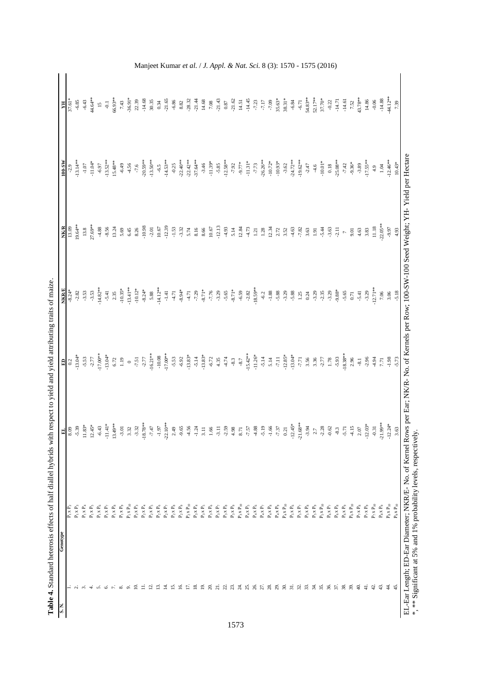| $P_1 \times P_2$                                |                  |                    |                | <b>NK/R</b>    | 100-SW         | H                          |
|-------------------------------------------------|------------------|--------------------|----------------|----------------|----------------|----------------------------|
|                                                 | $\frac{8.09}{ }$ | 모 <mark>이</mark>   | $-8.24*$       | 13.09          | $-2.9$         | $37.61*$                   |
| $\mathbf{P}_1 \mathbf{x} \; \mathbf{P}_3$       | $-5.39$          | $-13.04*$          | $-2.82$        | 19.64**        | $-13.14**$     | $-6.85$                    |
| $\mathbf{P}_1 \times \mathbf{P}_4$              | $11.83*$         | $-5.53$            | $-3.53$        | 13.8           | $\mbox{-}1.07$ | $-6.43$                    |
| $\mathbf{P}_1 \times \mathbf{P}_5$              | $12.45*$         | $-2.77$            | $-3.53$        | 27.69**        | $-11.04*$      | 44.64**                    |
| $\mathbf{P}_1 \times \mathbf{P}_6$              | $-6.43$          | $-17.00**$         | $-14.82**$     | 4.88           | $-6.97$        | 15                         |
| $\mathbf{P}_1 \times \mathbf{P}_7$              | $-11.41*$        | $-13.04*$          | $-5.41$        | $-8.56$        | $-13.52**$     | $\overline{\phantom{a}}$ . |
| $\mathbf{P_{i}} \times \mathbf{P_{8}}$          | $13.49**$        | $6.72$             | 2.35           | 13.24          | $15.48**$      | 66.93**                    |
| $\mathbf{P}_1 \times \mathbf{P}_9$              | $-3.01$          | 1.19               | $-10.35*$      | 5.69           | $-6.49$        | 7.43                       |
| $\mathbf{P}_1 \mathbf{x} \; \mathbf{P}_{10}$    | 3.32             | $\circ$            | $-13.41***$    | $6.45$         | 4.56           | $-36.91*$                  |
| $\mathbf{P}_2 \times \mathbf{P}_3$              | $-3.32$          | $-7.51$            | $-10.12*$      | 8.26           | $-7.6$         | 22.39                      |
| $\mathbf{P}_2$ x $\mathbf{P}_4$                 | $-18.78**$       | $-2.77$            | $-8.24*$       | $-10.98$       | $-20.59**$     | $-14.68$                   |
| $\mathbf{P}_2 \times \mathbf{P}_5$              | $-7.47$          | $-16.21**$         | 5.88           | $-2.01$        | $-13.50**$     | 30.35                      |
| $\mathbf{P}_2$ x $\mathbf{P}_6$                 | $-1.97$          | $-10.08$           | $-14.12**$     | $10.67$        | $-6.5$         | 0.34                       |
| $\mathbf{P}_2 \times \mathbf{P}_7$              | $-22.10**$       | $-17.00**$         | $\hbox{-}1.41$ | $-12.39$       | $-14.53**$     | $-21.65$                   |
| $\mathbf{P}_2$ x $\mathbf{P}_8$                 | 2.49             | $-5.53$            | 4.71           | $-1.53$        | $-0.25$        | $-6.86$                    |
| $\mathbf{P}_2$ x $\mathbf{P}_9$                 | $-9.65$          | $-6.92$            | $-8.94*$       | $-3.32$        | $-22.40**$     | $8.82\,$                   |
| $\mathbf{P}_2\mathbf{x}$ $\mathbf{P}_{10}$      | $-4.56$          | $-13.83*$          | 4.71           | 5.74           | $-22.42**$     | $-28.32$                   |
| $\mathbf{P}_3 \times \mathbf{P}_4$              | $-1.24$          | $-5.14$            | $-7.29$        | 8.16           | $-37.64**$     | $-21.44$                   |
| $\mathbf{P}_3 \times \mathbf{P}_5$              | 3.11             | $\textbf{-13.83*}$ | $-8.71*$       | 8.66           | $-3.46$        | 14.68                      |
| $\mathbf{P}_3 \times \mathbf{P}_6$              | 1.66             | $-6.72$            | $-7.76$        | 10.67          | $-11.39*$      | $7.08\,$                   |
| $\mathbf{P}_3 \times \mathbf{P}_7$              | $-3.11$          | 4.35               | $-3.29$        | $-12.13$       | $-5.85$        | $-21.43$                   |
| $\mathbf{P}_3$ x $\mathbf{P}_8$                 | $-2.59$          | 4.74               | $-5.65$        | 4.93           | $-12.58**$     | $0.87\,$                   |
| $\mathbf{P}_3$ x $\mathbf{P}_9$                 | 4.98             | $-8.3$             | $-8.71*$       | 5.14           | $-7.92$        | $-21.62$                   |
| $\mathbf{P}_3$ x $\mathbf{P}_{10}$              | 8.71             | $-8.7$             | $-6.59$        | 12.84          | $-9.77*$       | 14.51                      |
| $\mathrm{P}_4$ x $\mathrm{P}_5$                 | $-7.57$          | $-15.42**$         | $-2.82$        | 4.73           | $-11.31*$      | $-14.45$                   |
| $\mathrm{P}_4$ x $\mathrm{P}_6$                 | $-4.88$          | $-11.26*$          | $-18.59**$     | $1.21\,$       | $-7.73$        | $-7.23$                    |
| $\mathrm{P}_4 \, \mathrm{x} \, \mathrm{P}_7$    | $-5.19$          | $-5.14$            | $-6.2$         | 1.28           | $-26.26**$     | $-7.17$                    |
| $\mathbf{P}_4 \times \mathbf{P}_8$              | $-1.66$          | 5.14               | $-1.88$        | 12.34          | $-10.72*$      | $-7.09$                    |
| $\mathrm{P}_4 \, \mathrm{x} \, \mathrm{P}_9$    | $-7.37$          | $7.11$             | $-5.88$        | 2.72           | $-10.93*$      | $35.63*$                   |
| $\mathbf{P}_4$ x $\mathbf{P}_{10}$              | 0.21             | $-12.85*$          | $-3.29$        | 3.52           | $-3.62$        | $38.31*$                   |
| $\mathbf{P}_5$ x $\mathbf{P}_6$                 | $-12.45*$        | $-13.04*$          | $-5.88$        | 4.63           | $-24.72**$     | $-6.84$                    |
| $\mathbf{P}_5 \times \mathbf{P}_7$              | $-21.68**$       | $-7.71$            | 1.25           | $-7.82$        | $-19.62**$     | $-6.71$                    |
| $\mathbf{P}_5$ x $\mathbf{P}_8$                 | $-3.94$          | 3.56               | 0.24           | 3.63           | $-2.47$        | $54.83**$                  |
| $\mathbf{P}_5$ x $\mathbf{P}_9$                 | 2.7              | 3.36               | $-3.29$        | 1.91           | $-4.6$         | $52.17**$                  |
| $\mathbf{P}_5 \mathbf{x} \; \mathbf{P}_{10}$    | $-2.28$          | $-2.77$            | $-2.35$        | $-5.44$        | $-10.01*$      | $37.70*$                   |
| $\text{P}_6$ x $\text{P}_7$                     | $-0.62$          | 1.78               | $-3.29$        | $-3.63$        | $0.18$         | $-0.22$                    |
| $\mathbf{P}_6\,\mathbf{x}\,\mathbf{P}_8$        | $-8.3$           | $-5.93$            | $-9.88*$       | $-2.11$        | $-25.08**$     | $-14.71$                   |
| $\mathrm{P}_6$ x $\mathrm{P}_9$                 | $-5.71$          | $-18.38**$         | $-5.65$        | $\overline{a}$ | $-7.42$        | $-14.61$                   |
| $\mathbf{P}_6 \mathbf{x} \; \mathbf{P}_{10}$    | $-4.15$          | 2.96               | $0.71$         | 9.01           | $-9.36*$       | 7.52                       |
| $\mathbf{P}_7$ x $\mathbf{P}_8$                 | $2.07$           | $-8.1$             | $-5.41$        | 4.63           | $-3.89$        | 43.78**                    |
| $\mathbf{P}_7$ x $\mathbf{P}_9$                 | $-12.03*$        | $-2.96$            | $-3.29$        | 3.83           | $-17.55**$     | 14.86                      |
| $\mathbf{P}_7\mathbf{x}$ $\mathbf{P}_{10}$      | $-0.31$          | $-4.94$            | $-12.71**$     | 11.18          | 4.9            | $-0.06$                    |
| $\mathrm{P}_8$ x $\mathrm{P}_9$                 | $-21.99**$       | 7.71               | 7.06           | $-22.05**$     | $1.04$         | $-14.88$                   |
| $\mathrm{P}_8 \, \mathrm{x} \, \mathrm{P}_{10}$ | $-12.24*$        | $-1.98$            | 3.06           | $-9.97$        | $-12.46**$     | 44.12**                    |
| $\mathbf{P}_9\mathbf{x}$ $\mathbf{P}_{10}$      | 3.63             | $-5.73$            | $-5.18$        | 4.93           | $10.43*$       | 7.39                       |

Table 4. Standard heterosis effects of half diallel hybrids with respect to yield and yield attributing traits of maize. **Table 4.** Standard heterosis effects of half diallel hybrids with respect to yield and yield attributing traits of maize. Manjeet Kumar *et al.* / *J. Appl. & Nat. Sci.* 8 (3): 1570 - 1575 (2016)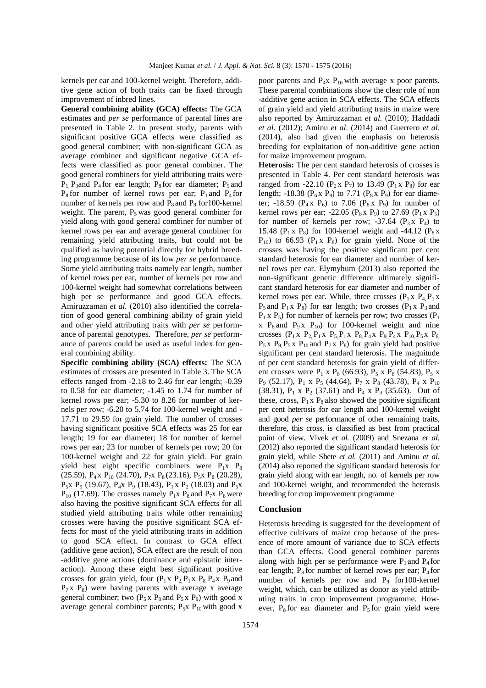kernels per ear and 100-kernel weight. Therefore, additive gene action of both traits can be fixed through improvement of inbred lines.

**General combining ability (GCA) effects:** The GCA estimates and *per se* performance of parental lines are presented in Table 2. In present study, parents with significant positive GCA effects were classified as good general combiner; with non-significant GCA as average combiner and significant negative GCA effects were classified as poor general combiner. The good general combiners for yield attributing traits were  $P_1$ ,  $P_3$ and  $P_4$  for ear length;  $P_8$  for ear diameter;  $P_5$  and  $P_8$  for number of kernel rows per ear;  $P_1$  and  $P_4$  for number of kernels per row and  $P_8$  and  $P_9$  for 100-kernel weight. The parent,  $P_5$  was good general combiner for yield along with good general combiner for number of kernel rows per ear and average general combiner for remaining yield attributing traits, but could not be qualified as having potential directly for hybrid breeding programme because of its low *per se* performance. Some yield attributing traits namely ear length, number of kernel rows per ear, number of kernels per row and 100-kernel weight had somewhat correlations between high per se performance and good GCA effects. Amiruzzaman *et al.* (2010) also identified the correlation of good general combining ability of grain yield and other yield attributing traits with *per se* performance of parental genotypes. Therefore, *per se* performance of parents could be used as useful index for general combining ability.

**Specific combining ability (SCA) effects:** The SCA estimates of crosses are presented in Table 3. The SCA effects ranged from -2.18 to 2.46 for ear length; -0.39 to 0.58 for ear diameter; -1.45 to 1.74 for number of kernel rows per ear; -5.30 to 8.26 for number of kernels per row; -6.20 to 5.74 for 100-kernel weight and - 17.71 to 29.59 for grain yield. The number of crosses having significant positive SCA effects was 25 for ear length; 19 for ear diameter; 18 for number of kernel rows per ear; 23 for number of kernels per row; 20 for 100-kernel weight and 22 for grain yield. For grain yield best eight specific combiners were  $P_1x$   $P_8$ (25.59),  $P_4$  x  $P_{10}$  (24.70),  $P_7$ x  $P_8$  (23.16),  $P_5$ x  $P_8$  (20.28),  $P_5x$   $P_9$  (19.67),  $P_4x$   $P_9$  (18.43),  $P_1x$   $P_2$  (18.03) and  $P_5x$  $P_{10}$  (17.69). The crosses namely  $P_1x$   $P_8$  and  $P_7x$   $P_8$  were also having the positive significant SCA effects for all studied yield attributing traits while other remaining crosses were having the positive significant SCA effects for most of the yield attributing traits in addition to good SCA effect. In contrast to GCA effect (additive gene action), SCA effect are the result of non -additive gene actions (dominance and epistatic interaction). Among these eight best significant positive crosses for grain yield, four  $(P_1 \times P_2 P_1 \times P_8 P_4 \times P_9$  and  $P_7$  x  $P_8$ ) were having parents with average x average general combiner; two  $(P_5 x P_8$  and  $P_5 x P_9$ ) with good x average general combiner parents;  $P_5x P_{10}$  with good x

poor parents and  $P_4x$   $P_{10}$  with average x poor parents. These parental combinations show the clear role of non -additive gene action in SCA effects. The SCA effects of grain yield and yield attributing traits in maize were also reported by Amiruzzaman *et al.* (2010); Haddadi *et al*. (2012); Aminu *et al*. (2014) and Guerrero *et al*. (2014), also had given the emphasis on heterosis breeding for exploitation of non-additive gene action for maize improvement program.

**Heterosis:** The per cent standard heterosis of crosses is presented in Table 4. Per cent standard heterosis was ranged from -22.10 ( $P_2$ x  $P_7$ ) to 13.49 ( $P_1$ x  $P_8$ ) for ear length; -18.38 ( $P_6$ x  $P_9$ ) to 7.71 ( $P_8$ x  $P_9$ ) for ear diameter; -18.59 ( $P_4$ x  $P_6$ ) to 7.06 ( $P_8$ x  $P_9$ ) for number of kernel rows per ear; -22.05 ( $P_8$ x  $P_9$ ) to 27.69 ( $P_1$ x  $P_5$ ) for number of kernels per row;  $-37.64$  ( $P_3$ x  $P_4$ ) to 15.48 ( $P_1$  x  $P_8$ ) for 100-kernel weight and -44.12 ( $P_8$  x  $P_{10}$ ) to 66.93 ( $P_1 \times P_8$ ) for grain yield. None of the crosses was having the positive significant per cent standard heterosis for ear diameter and number of kernel rows per ear. Elymyhum (2013) also reported the non-significant genetic difference ultimately significant standard heterosis for ear diameter and number of kernel rows per ear. While, three crosses  $(P_1 \times P_4, P_1 \times P_2)$  $P_5$  and  $P_1$  x  $P_8$ ) for ear length; two crosses ( $P_1$  x  $P_3$  and  $P_1$  x  $P_5$ ) for number of kernels per row; two crosses ( $P_1$ ) x  $P_8$  and  $P_9$  x  $P_{10}$ ) for 100-kernel weight and nine crosses  $(P_1 \times P_2 P_1 \times P_5 P_1 \times P_8 P_4 \times P_9 P_4 \times P_{10} P_5 \times P_8$  $P_5$ x  $P_9$ ,  $P_5$ x  $P_{10}$  and  $P_7$ x  $P_8$ ) for grain yield had positive significant per cent standard heterosis. The magnitude of per cent standard heterosis for grain yield of different crosses were  $P_1$  x  $P_8$  (66.93),  $P_5$  x  $P_8$  (54.83),  $P_5$  x P<sub>9</sub> (52.17), P<sub>1</sub> x P<sub>5</sub> (44.64), P<sub>7</sub> x P<sub>8</sub> (43.78), P<sub>4</sub> x P<sub>10</sub> (38.31),  $P_1 \times P_2$  (37.61) and  $P_4 \times P_9$  (35.63). Out of these, cross,  $P_1 x P_8$  also showed the positive significant per cent heterosis for ear length and 100-kernel weight and good *per se* performance of other remaining traits, therefore, this cross, is classified as best from practical point of view. Vivek *et al.* (2009) and Snezana *et al.* (2012) also reported the significant standard heterosis for grain yield, while Shete *et al.* (2011) and Aminu *et al.* (2014) also reported the significant standard heterosis for grain yield along with ear length, no. of kernels per row and 100-kernel weight, and recommended the heterosis breeding for crop improvement programme

#### **Conclusion**

Heterosis breeding is suggested for the development of effective cultivars of maize crop because of the presence of more amount of variance due to SCA effects than GCA effects. Good general combiner parents along with high per se performance were  $P_1$  and  $P_4$  for ear length;  $P_8$  for number of kernel rows per ear;  $P_4$  for number of kernels per row and  $P<sub>9</sub>$  for 100-kernel weight, which, can be utilized as donor as yield attributing traits in crop improvement programme. However,  $P_8$  for ear diameter and  $P_5$  for grain yield were